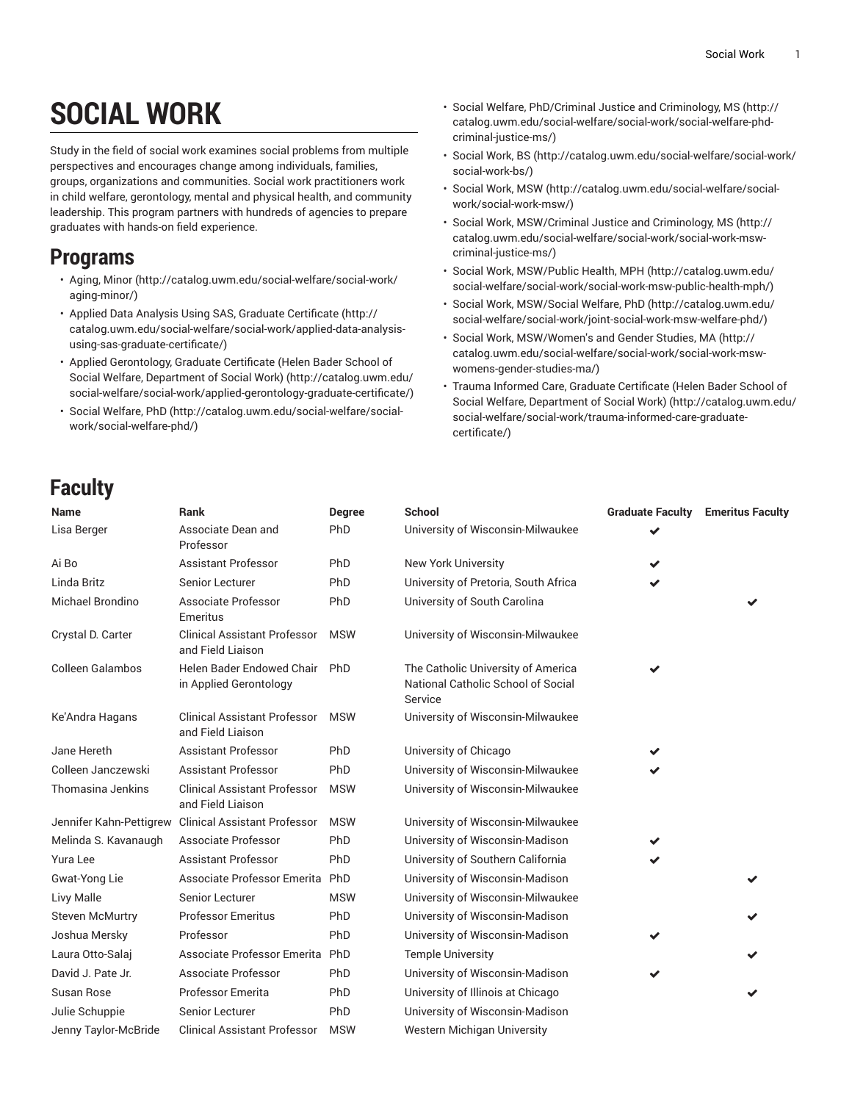## **SOCIAL WORK**

Study in the field of social work examines social problems from multiple perspectives and encourages change among individuals, families, groups, organizations and communities. Social work practitioners work in child welfare, gerontology, mental and physical health, and community leadership. This program partners with hundreds of agencies to prepare graduates with hands-on field experience.

## **Programs**

- [Aging, Minor](http://catalog.uwm.edu/social-welfare/social-work/aging-minor/) ([http://catalog.uwm.edu/social-welfare/social-work/](http://catalog.uwm.edu/social-welfare/social-work/aging-minor/) [aging-minor/](http://catalog.uwm.edu/social-welfare/social-work/aging-minor/))
- Applied Data Analysis Using SAS, Graduate [Certificate \(http://](http://catalog.uwm.edu/social-welfare/social-work/applied-data-analysis-using-sas-graduate-certificate/) [catalog.uwm.edu/social-welfare/social-work/applied-data-analysis](http://catalog.uwm.edu/social-welfare/social-work/applied-data-analysis-using-sas-graduate-certificate/)[using-sas-graduate-certificate/\)](http://catalog.uwm.edu/social-welfare/social-work/applied-data-analysis-using-sas-graduate-certificate/)
- Applied [Gerontology,](http://catalog.uwm.edu/social-welfare/social-work/applied-gerontology-graduate-certificate/) Graduate Certificate (Helen Bader School of Social Welfare, [Department](http://catalog.uwm.edu/social-welfare/social-work/applied-gerontology-graduate-certificate/) of Social Work) ([http://catalog.uwm.edu/](http://catalog.uwm.edu/social-welfare/social-work/applied-gerontology-graduate-certificate/) [social-welfare/social-work/applied-gerontology-graduate-certificate/\)](http://catalog.uwm.edu/social-welfare/social-work/applied-gerontology-graduate-certificate/)
- Social [Welfare,](http://catalog.uwm.edu/social-welfare/social-work/social-welfare-phd/) PhD [\(http://catalog.uwm.edu/social-welfare/social](http://catalog.uwm.edu/social-welfare/social-work/social-welfare-phd/)[work/social-welfare-phd/\)](http://catalog.uwm.edu/social-welfare/social-work/social-welfare-phd/)
- Social Welfare, [PhD/Criminal](http://catalog.uwm.edu/social-welfare/social-work/social-welfare-phd-criminal-justice-ms/) Justice and Criminology, MS ([http://](http://catalog.uwm.edu/social-welfare/social-work/social-welfare-phd-criminal-justice-ms/) [catalog.uwm.edu/social-welfare/social-work/social-welfare-phd](http://catalog.uwm.edu/social-welfare/social-work/social-welfare-phd-criminal-justice-ms/)[criminal-justice-ms/](http://catalog.uwm.edu/social-welfare/social-work/social-welfare-phd-criminal-justice-ms/))
- [Social](http://catalog.uwm.edu/social-welfare/social-work/social-work-bs/) Work, BS [\(http://catalog.uwm.edu/social-welfare/social-work/](http://catalog.uwm.edu/social-welfare/social-work/social-work-bs/) [social-work-bs/\)](http://catalog.uwm.edu/social-welfare/social-work/social-work-bs/)
- [Social](http://catalog.uwm.edu/social-welfare/social-work/social-work-msw/) Work, MSW [\(http://catalog.uwm.edu/social-welfare/social](http://catalog.uwm.edu/social-welfare/social-work/social-work-msw/)[work/social-work-msw/\)](http://catalog.uwm.edu/social-welfare/social-work/social-work-msw/)
- Social Work, [MSW/Criminal](http://catalog.uwm.edu/social-welfare/social-work/social-work-msw-criminal-justice-ms/) Justice and Criminology, MS ([http://](http://catalog.uwm.edu/social-welfare/social-work/social-work-msw-criminal-justice-ms/) [catalog.uwm.edu/social-welfare/social-work/social-work-msw](http://catalog.uwm.edu/social-welfare/social-work/social-work-msw-criminal-justice-ms/)[criminal-justice-ms/](http://catalog.uwm.edu/social-welfare/social-work/social-work-msw-criminal-justice-ms/))
- Social Work, [MSW/Public](http://catalog.uwm.edu/social-welfare/social-work/social-work-msw-public-health-mph/) Health, MPH ([http://catalog.uwm.edu/](http://catalog.uwm.edu/social-welfare/social-work/social-work-msw-public-health-mph/) [social-welfare/social-work/social-work-msw-public-health-mph/\)](http://catalog.uwm.edu/social-welfare/social-work/social-work-msw-public-health-mph/)
- Social Work, [MSW/Social](http://catalog.uwm.edu/social-welfare/social-work/joint-social-work-msw-welfare-phd/) Welfare, PhD [\(http://catalog.uwm.edu/](http://catalog.uwm.edu/social-welfare/social-work/joint-social-work-msw-welfare-phd/) [social-welfare/social-work/joint-social-work-msw-welfare-phd/](http://catalog.uwm.edu/social-welfare/social-work/joint-social-work-msw-welfare-phd/))
- Social Work, [MSW/Women's](http://catalog.uwm.edu/social-welfare/social-work/social-work-msw-womens-gender-studies-ma/) and Gender Studies, MA [\(http://](http://catalog.uwm.edu/social-welfare/social-work/social-work-msw-womens-gender-studies-ma/) [catalog.uwm.edu/social-welfare/social-work/social-work-msw](http://catalog.uwm.edu/social-welfare/social-work/social-work-msw-womens-gender-studies-ma/)[womens-gender-studies-ma/](http://catalog.uwm.edu/social-welfare/social-work/social-work-msw-womens-gender-studies-ma/))
- Trauma Informed Care, Graduate [Certificate](http://catalog.uwm.edu/social-welfare/social-work/trauma-informed-care-graduate-certificate/) (Helen Bader School of Social Welfare, [Department](http://catalog.uwm.edu/social-welfare/social-work/trauma-informed-care-graduate-certificate/) of Social Work) ([http://catalog.uwm.edu/](http://catalog.uwm.edu/social-welfare/social-work/trauma-informed-care-graduate-certificate/) [social-welfare/social-work/trauma-informed-care-graduate](http://catalog.uwm.edu/social-welfare/social-work/trauma-informed-care-graduate-certificate/)[certificate/\)](http://catalog.uwm.edu/social-welfare/social-work/trauma-informed-care-graduate-certificate/)

## **Faculty**

| Name                    | <b>Rank</b>                                              | Degree     | <b>School</b>                                                                       | <b>Graduate Faculty</b> | <b>Emeritus Faculty</b> |
|-------------------------|----------------------------------------------------------|------------|-------------------------------------------------------------------------------------|-------------------------|-------------------------|
| Lisa Berger             | Associate Dean and<br>Professor                          | PhD        | University of Wisconsin-Milwaukee                                                   |                         |                         |
| Ai Bo                   | <b>Assistant Professor</b>                               | PhD        | <b>New York University</b>                                                          |                         |                         |
| Linda Britz             | Senior Lecturer                                          | PhD        | University of Pretoria, South Africa                                                | ✔                       |                         |
| Michael Brondino        | Associate Professor<br>Emeritus                          | PhD        | University of South Carolina                                                        |                         |                         |
| Crystal D. Carter       | <b>Clinical Assistant Professor</b><br>and Field Liaison | <b>MSW</b> | University of Wisconsin-Milwaukee                                                   |                         |                         |
| <b>Colleen Galambos</b> | Helen Bader Endowed Chair<br>in Applied Gerontology      | PhD        | The Catholic University of America<br>National Catholic School of Social<br>Service | ✔                       |                         |
| Ke'Andra Hagans         | <b>Clinical Assistant Professor</b><br>and Field Liaison | <b>MSW</b> | University of Wisconsin-Milwaukee                                                   |                         |                         |
| Jane Hereth             | <b>Assistant Professor</b>                               | PhD        | University of Chicago                                                               |                         |                         |
| Colleen Janczewski      | <b>Assistant Professor</b>                               | PhD        | University of Wisconsin-Milwaukee                                                   |                         |                         |
| Thomasina Jenkins       | <b>Clinical Assistant Professor</b><br>and Field Liaison | <b>MSW</b> | University of Wisconsin-Milwaukee                                                   |                         |                         |
| Jennifer Kahn-Pettigrew | <b>Clinical Assistant Professor</b>                      | <b>MSW</b> | University of Wisconsin-Milwaukee                                                   |                         |                         |
| Melinda S. Kavanaugh    | Associate Professor                                      | PhD        | University of Wisconsin-Madison                                                     | ✔                       |                         |
| <b>Yura Lee</b>         | <b>Assistant Professor</b>                               | PhD        | University of Southern California                                                   |                         |                         |
| Gwat-Yong Lie           | Associate Professor Emerita PhD                          |            | University of Wisconsin-Madison                                                     |                         |                         |
| Livy Malle              | Senior Lecturer                                          | <b>MSW</b> | University of Wisconsin-Milwaukee                                                   |                         |                         |
| <b>Steven McMurtry</b>  | <b>Professor Emeritus</b>                                | PhD        | University of Wisconsin-Madison                                                     |                         |                         |
| Joshua Mersky           | Professor                                                | PhD        | University of Wisconsin-Madison                                                     |                         |                         |
| Laura Otto-Salaj        | Associate Professor Emerita PhD                          |            | <b>Temple University</b>                                                            |                         |                         |
| David J. Pate Jr.       | Associate Professor                                      | PhD        | University of Wisconsin-Madison                                                     |                         |                         |
| Susan Rose              | Professor Emerita                                        | PhD        | University of Illinois at Chicago                                                   |                         |                         |
| Julie Schuppie          | Senior Lecturer                                          | PhD        | University of Wisconsin-Madison                                                     |                         |                         |
| Jenny Taylor-McBride    | <b>Clinical Assistant Professor</b>                      | <b>MSW</b> | Western Michigan University                                                         |                         |                         |